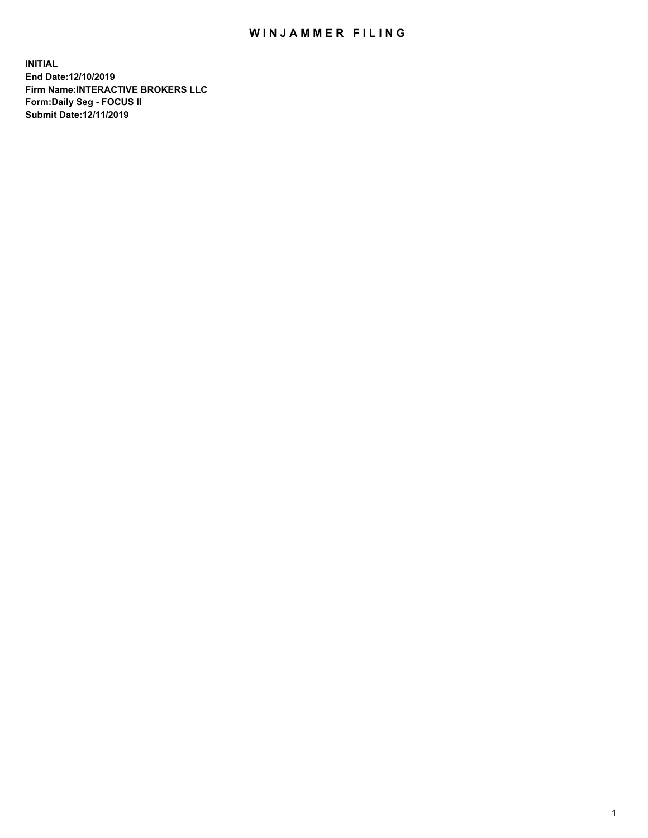## WIN JAMMER FILING

**INITIAL End Date:12/10/2019 Firm Name:INTERACTIVE BROKERS LLC Form:Daily Seg - FOCUS II Submit Date:12/11/2019**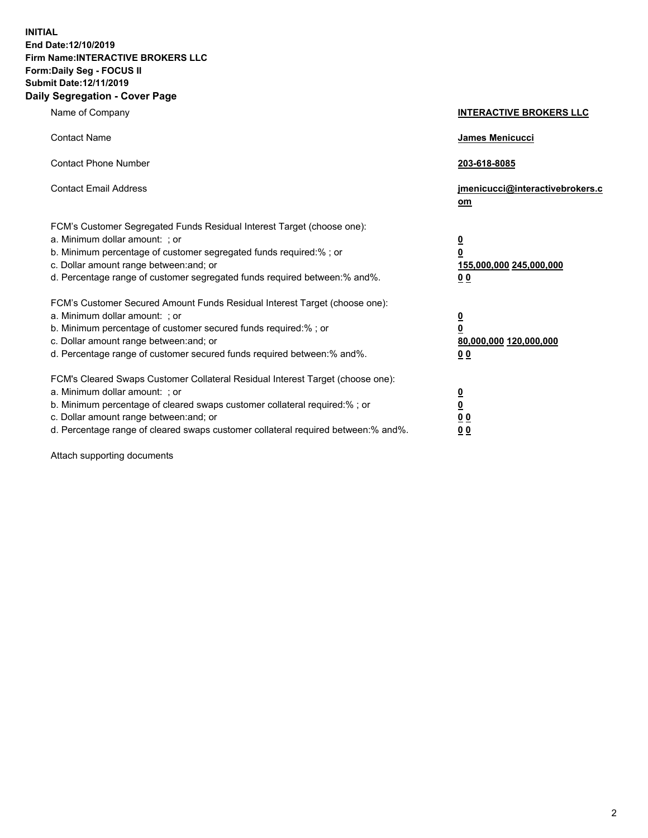**INITIAL End Date:12/10/2019 Firm Name:INTERACTIVE BROKERS LLC Form:Daily Seg - FOCUS II Submit Date:12/11/2019 Daily Segregation - Cover Page**

| Name of Company                                                                                                                                                                                                                                                                                                                | <b>INTERACTIVE BROKERS LLC</b>                                                                  |
|--------------------------------------------------------------------------------------------------------------------------------------------------------------------------------------------------------------------------------------------------------------------------------------------------------------------------------|-------------------------------------------------------------------------------------------------|
| <b>Contact Name</b>                                                                                                                                                                                                                                                                                                            | James Menicucci                                                                                 |
| <b>Contact Phone Number</b>                                                                                                                                                                                                                                                                                                    | 203-618-8085                                                                                    |
| <b>Contact Email Address</b>                                                                                                                                                                                                                                                                                                   | jmenicucci@interactivebrokers.c<br>om                                                           |
| FCM's Customer Segregated Funds Residual Interest Target (choose one):<br>a. Minimum dollar amount: ; or<br>b. Minimum percentage of customer segregated funds required:% ; or<br>c. Dollar amount range between: and; or<br>d. Percentage range of customer segregated funds required between:% and%.                         | $\overline{\mathbf{0}}$<br>$\overline{\mathbf{0}}$<br>155,000,000 245,000,000<br>0 <sub>0</sub> |
| FCM's Customer Secured Amount Funds Residual Interest Target (choose one):<br>a. Minimum dollar amount: ; or<br>b. Minimum percentage of customer secured funds required:% ; or<br>c. Dollar amount range between: and; or<br>d. Percentage range of customer secured funds required between:% and%.                           | $\overline{\mathbf{0}}$<br>0<br>80,000,000 120,000,000<br>0 <sub>0</sub>                        |
| FCM's Cleared Swaps Customer Collateral Residual Interest Target (choose one):<br>a. Minimum dollar amount: ; or<br>b. Minimum percentage of cleared swaps customer collateral required:% ; or<br>c. Dollar amount range between: and; or<br>d. Percentage range of cleared swaps customer collateral required between:% and%. | $\overline{\mathbf{0}}$<br><u>0</u><br>$\underline{0}$ $\underline{0}$<br>00                    |

Attach supporting documents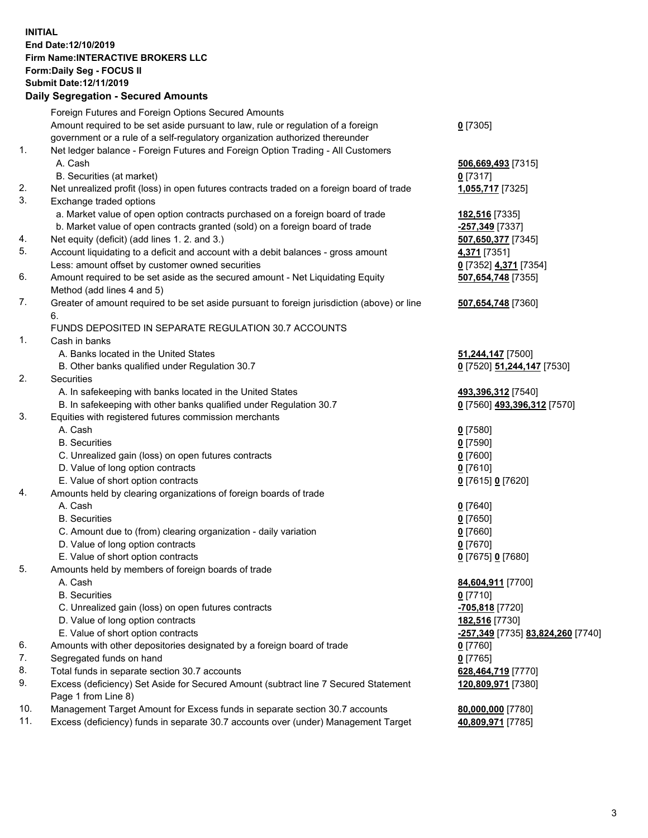## **INITIAL End Date:12/10/2019 Firm Name:INTERACTIVE BROKERS LLC Form:Daily Seg - FOCUS II Submit Date:12/11/2019 Daily Segregation - Secured Amounts**

|            | Daily Segregation - Secured Alliounts                                                       |                                   |
|------------|---------------------------------------------------------------------------------------------|-----------------------------------|
|            | Foreign Futures and Foreign Options Secured Amounts                                         |                                   |
|            | Amount required to be set aside pursuant to law, rule or regulation of a foreign            | $0$ [7305]                        |
|            | government or a rule of a self-regulatory organization authorized thereunder                |                                   |
| 1.         | Net ledger balance - Foreign Futures and Foreign Option Trading - All Customers             |                                   |
|            | A. Cash                                                                                     | 506,669,493 [7315]                |
|            | B. Securities (at market)                                                                   | $0$ [7317]                        |
| 2.         | Net unrealized profit (loss) in open futures contracts traded on a foreign board of trade   | 1,055,717 [7325]                  |
| 3.         | Exchange traded options                                                                     |                                   |
|            | a. Market value of open option contracts purchased on a foreign board of trade              | 182,516 [7335]                    |
|            | b. Market value of open contracts granted (sold) on a foreign board of trade                | -257,349 [7337]                   |
| 4.         | Net equity (deficit) (add lines 1. 2. and 3.)                                               | 507,650,377 [7345]                |
| 5.         | Account liquidating to a deficit and account with a debit balances - gross amount           | 4,371 [7351]                      |
|            | Less: amount offset by customer owned securities                                            | 0 [7352] 4,371 [7354]             |
| 6.         | Amount required to be set aside as the secured amount - Net Liquidating Equity              | 507,654,748 [7355]                |
|            | Method (add lines 4 and 5)                                                                  |                                   |
| 7.         | Greater of amount required to be set aside pursuant to foreign jurisdiction (above) or line | 507,654,748 [7360]                |
|            | 6.                                                                                          |                                   |
|            | FUNDS DEPOSITED IN SEPARATE REGULATION 30.7 ACCOUNTS                                        |                                   |
| 1.         | Cash in banks                                                                               |                                   |
|            | A. Banks located in the United States                                                       | 51,244,147 [7500]                 |
|            | B. Other banks qualified under Regulation 30.7                                              | 0 [7520] 51,244,147 [7530]        |
| 2.         | Securities                                                                                  |                                   |
|            | A. In safekeeping with banks located in the United States                                   | 493,396,312 [7540]                |
|            | B. In safekeeping with other banks qualified under Regulation 30.7                          | 0 [7560] 493,396,312 [7570]       |
| 3.         | Equities with registered futures commission merchants                                       |                                   |
|            | A. Cash                                                                                     | $0$ [7580]                        |
|            | <b>B.</b> Securities                                                                        | $0$ [7590]                        |
|            | C. Unrealized gain (loss) on open futures contracts                                         | $0$ [7600]                        |
|            | D. Value of long option contracts                                                           | $0$ [7610]                        |
|            | E. Value of short option contracts                                                          | 0 [7615] 0 [7620]                 |
| 4.         | Amounts held by clearing organizations of foreign boards of trade                           |                                   |
|            | A. Cash                                                                                     | $0$ [7640]                        |
|            | <b>B.</b> Securities                                                                        | $0$ [7650]                        |
|            | C. Amount due to (from) clearing organization - daily variation                             | $0$ [7660]                        |
|            | D. Value of long option contracts                                                           | $0$ [7670]                        |
|            | E. Value of short option contracts                                                          | 0 [7675] 0 [7680]                 |
| 5.         | Amounts held by members of foreign boards of trade                                          |                                   |
|            | A. Cash                                                                                     | 84,604,911 [7700]                 |
|            | <b>B.</b> Securities                                                                        | $0$ [7710]                        |
|            | C. Unrealized gain (loss) on open futures contracts                                         | -705,818 [7720]                   |
|            | D. Value of long option contracts                                                           | 182,516 [7730]                    |
|            | E. Value of short option contracts                                                          | -257,349 [7735] 83,824,260 [7740] |
| 6.         | Amounts with other depositories designated by a foreign board of trade                      | 0 [7760]                          |
| 7.         | Segregated funds on hand                                                                    | $0$ [7765]                        |
| 8.         | Total funds in separate section 30.7 accounts                                               | 628,464,719 [7770]                |
| 9.         | Excess (deficiency) Set Aside for Secured Amount (subtract line 7 Secured Statement         | 120,809,971 [7380]                |
|            | Page 1 from Line 8)                                                                         |                                   |
| 10.<br>11. | Management Target Amount for Excess funds in separate section 30.7 accounts                 | 80,000,000 [7780]                 |
|            | Excess (deficiency) funds in separate 30.7 accounts over (under) Management Target          | 40,809,971 [7785]                 |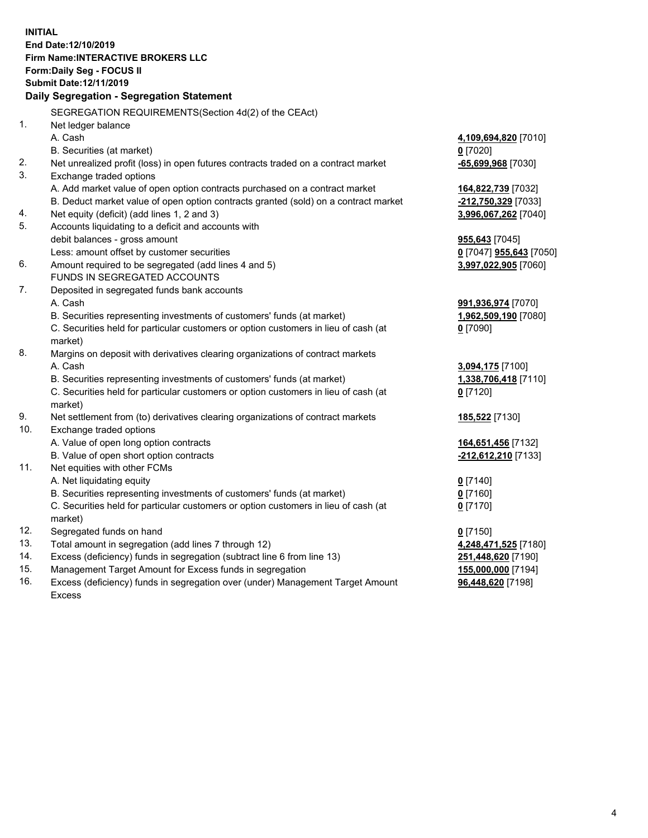**INITIAL End Date:12/10/2019 Firm Name:INTERACTIVE BROKERS LLC Form:Daily Seg - FOCUS II Submit Date:12/11/2019 Daily Segregation - Segregation Statement** SEGREGATION REQUIREMENTS(Section 4d(2) of the CEAct) 1. Net ledger balance A. Cash **4,109,694,820** [7010] B. Securities (at market) **0** [7020] 2. Net unrealized profit (loss) in open futures contracts traded on a contract market **-65,699,968** [7030] 3. Exchange traded options A. Add market value of open option contracts purchased on a contract market **164,822,739** [7032] B. Deduct market value of open option contracts granted (sold) on a contract market **-212,750,329** [7033] 4. Net equity (deficit) (add lines 1, 2 and 3) **3,996,067,262** [7040] 5. Accounts liquidating to a deficit and accounts with debit balances - gross amount **955,643** [7045] Less: amount offset by customer securities **0** [7047] **955,643** [7050] 6. Amount required to be segregated (add lines 4 and 5) **3,997,022,905** [7060] FUNDS IN SEGREGATED ACCOUNTS 7. Deposited in segregated funds bank accounts A. Cash **991,936,974** [7070] B. Securities representing investments of customers' funds (at market) **1,962,509,190** [7080] C. Securities held for particular customers or option customers in lieu of cash (at market) **0** [7090] 8. Margins on deposit with derivatives clearing organizations of contract markets A. Cash **3,094,175** [7100] B. Securities representing investments of customers' funds (at market) **1,338,706,418** [7110] C. Securities held for particular customers or option customers in lieu of cash (at market) **0** [7120] 9. Net settlement from (to) derivatives clearing organizations of contract markets **185,522** [7130] 10. Exchange traded options A. Value of open long option contracts **164,651,456** [7132] B. Value of open short option contracts **-212,612,210** [7133] 11. Net equities with other FCMs A. Net liquidating equity **0** [7140] B. Securities representing investments of customers' funds (at market) **0** [7160] C. Securities held for particular customers or option customers in lieu of cash (at market) **0** [7170] 12. Segregated funds on hand **0** [7150] 13. Total amount in segregation (add lines 7 through 12) **4,248,471,525** [7180] 14. Excess (deficiency) funds in segregation (subtract line 6 from line 13) **251,448,620** [7190] 15. Management Target Amount for Excess funds in segregation **155,000,000** [7194]

16. Excess (deficiency) funds in segregation over (under) Management Target Amount Excess

**96,448,620** [7198]